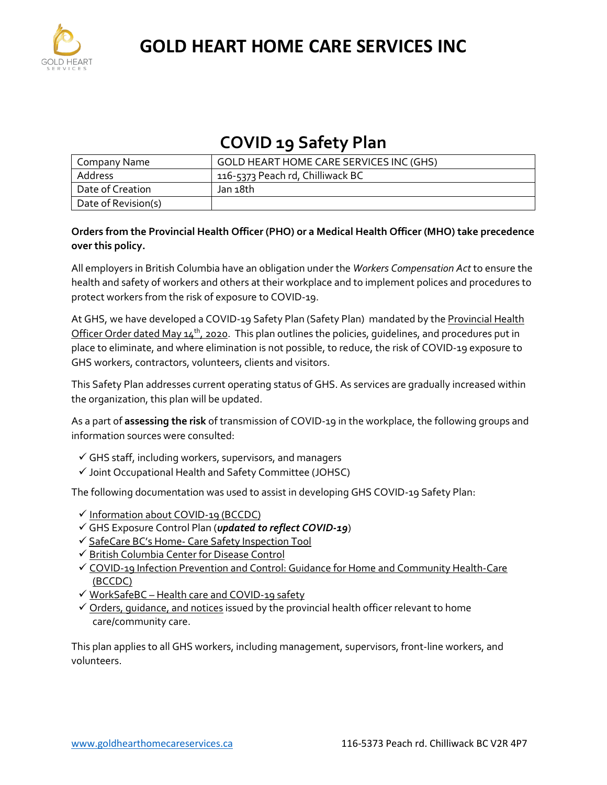

### **COVID 19 Safety Plan**

| Company Name        | GOLD HEART HOME CARE SERVICES INC (GHS) |
|---------------------|-----------------------------------------|
| Address             | 116-5373 Peach rd, Chilliwack BC        |
| Date of Creation    | Jan 18th                                |
| Date of Revision(s) |                                         |

### **Orders from the Provincial Health Officer (PHO) or a Medical Health Officer (MHO) take precedence over this policy.**

All employers in British Columbia have an obligation under the *Workers Compensation Act* to ensure the health and safety of workers and others at their workplace and to implement polices and procedures to protect workers from the risk of exposure to COVID-19.

At GHS, we have developed a COVID-19 Safety Plan (Safety Plan) mandated by the Provincial Health Officer Order dated May  $14<sup>th</sup>$ , 2020. This plan outlines the policies, quidelines, and procedures put in place to eliminate, and where elimination is not possible, to reduce, the risk of COVID-19 exposure to GHS workers, contractors, volunteers, clients and visitors.

This Safety Plan addresses current operating status of GHS. As services are gradually increased within the organization, this plan will be updated.

As a part of **assessing the risk** of transmission of COVID-19 in the workplace, the following groups and information sources were consulted:

- $\checkmark$  GHS staff, including workers, supervisors, and managers
- Joint Occupational Health and Safety Committee (JOHSC)

The following documentation was used to assist in developing GHS COVID-19 Safety Plan:

- $\checkmark$  [Information about COVID-19 \(BCCDC\)](http://www.bccdc.ca/health-info/diseases-conditions/covid-19/about-covid-19/symptoms)
- GHS Exposure Control Plan (*updated to reflect COVID-19*)
- ✔ SafeCare BC's Home- [Care Safety Inspection Tool](https://www.safecarebc.ca/wp-content/uploads/2021/02/Safety-Inpsection-COVID-19-HC-Final-2021.pdf)
- ← [British Columbia Center for Disease Control](http://www.bccdc.ca/health-professionals/clinical-resources/covid-19-care/clinical-care/long-term-care-facilities-assisted-living)
- [COVID-19 Infection Prevention and Control: Guidance for Home and Community Health-Care](http://www.bccdc.ca/Health-Professionals-Site/Documents/COVID19_HomeCommunityCareIPCGuidance.pdf)  [\(BCCDC\)](http://www.bccdc.ca/Health-Professionals-Site/Documents/COVID19_HomeCommunityCareIPCGuidance.pdf)
- WorkSafeBC [Health care and COVID-19 safety](https://www.worksafebc.com/en/about-us/covid-19-updates/covid-19-industry-information/health-care)
- $\checkmark$  Orders, quidance, and notices issued by the provincial health officer relevant to home care/community care.

This plan applies to all GHS workers, including management, supervisors, front-line workers, and volunteers.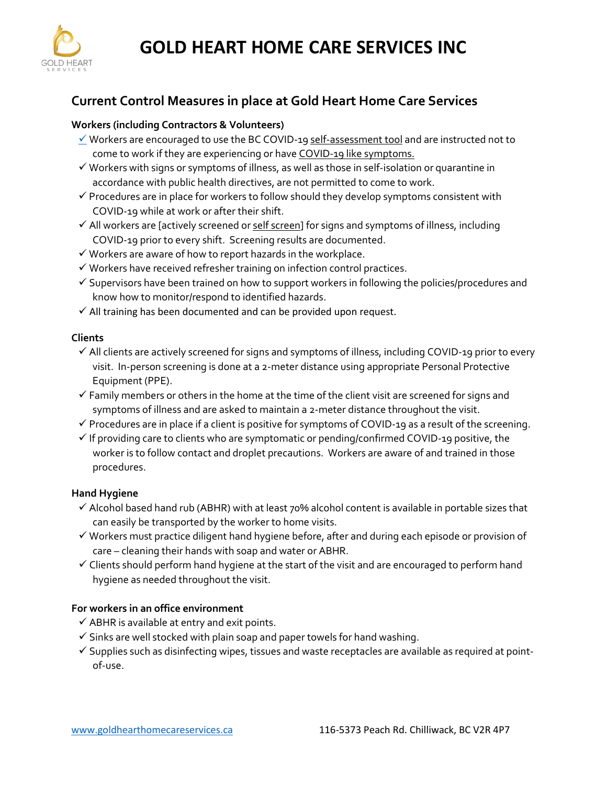

### **Current Control Measures in place at Gold Heart Home Care Services**

### **Workers (including Contractors & Volunteers)**

- $\checkmark$  Workers are encouraged to use the BC COVID-1[9 self-assessment tool](https://bc.thrive.health/covid19/en) and are instructed not to come to work if they are experiencing or hav[e COVID-19 like symptoms.](http://www.bccdc.ca/health-info/diseases-conditions/covid-19/about-covid-19/symptoms)
- $\checkmark$  Workers with signs or symptoms of illness, as well as those in self-isolation or quarantine in accordance with public health directives, are not permitted to come to work.
- $\checkmark$  Procedures are in place for workers to follow should they develop symptoms consistent with COVID-19 while at work or after their shift.
- $\checkmark$  All workers are [actively screened o[r self screen\]](https://bc.thrive.health/) for signs and symptoms of illness, including COVID-19 prior to every shift. Screening results are documented.
- $\checkmark$  Workers are aware of how to report hazards in the workplace.
- $\checkmark$  Workers have received refresher training on infection control practices.
- $\checkmark$  Supervisors have been trained on how to support workers in following the policies/procedures and know how to monitor/respond to identified hazards.
- $\checkmark$  All training has been documented and can be provided upon request.

### **Clients**

- $\checkmark$  All clients are actively screened for signs and symptoms of illness, including COVID-19 prior to every visit. In-person screening is done at a 2-meter distance using appropriate Personal Protective Equipment (PPE).
- $\checkmark$  Family members or others in the home at the time of the client visit are screened for signs and symptoms of illness and are asked to maintain a 2-meter distance throughout the visit.
- $\checkmark$  Procedures are in place if a client is positive for symptoms of COVID-19 as a result of the screening.
- $\checkmark$  If providing care to clients who are symptomatic or pending/confirmed COVID-19 positive, the worker is to follow contact and droplet precautions. Workers are aware of and trained in those procedures.

### **Hand Hygiene**

- $\checkmark$  Alcohol based hand rub (ABHR) with at least 70% alcohol content is available in portable sizes that can easily be transported by the worker to home visits.
- $\checkmark$  Workers must practice diligent hand hygiene before, after and during each episode or provision of care – cleaning their hands with soap and water or ABHR.
- $\checkmark$  Clients should perform hand hygiene at the start of the visit and are encouraged to perform hand hygiene as needed throughout the visit.

### **For workers in an office environment**

- $\checkmark$  ABHR is available at entry and exit points.
- $\checkmark$  Sinks are well stocked with plain soap and paper towels for hand washing.
- $\checkmark$  Supplies such as disinfecting wipes, tissues and waste receptacles are available as required at pointof-use.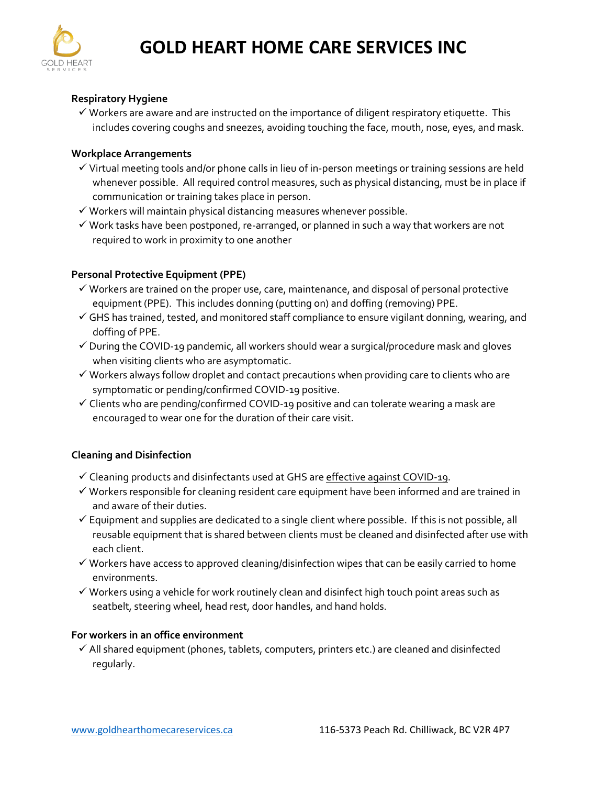

### **Respiratory Hygiene**

 $\checkmark$  Workers are aware and are instructed on the importance of diligent respiratory etiquette. This includes covering coughs and sneezes, avoiding touching the face, mouth, nose, eyes, and mask.

#### **Workplace Arrangements**

- $\checkmark$  Virtual meeting tools and/or phone calls in lieu of in-person meetings or training sessions are held whenever possible. All required control measures, such as physical distancing, must be in place if communication or training takes place in person.
- $\checkmark$  Workers will maintain physical distancing measures whenever possible.
- $\checkmark$  Work tasks have been postponed, re-arranged, or planned in such a way that workers are not required to work in proximity to one another

### **Personal Protective Equipment (PPE)**

- $\checkmark$  Workers are trained on the proper use, care, maintenance, and disposal of personal protective equipment (PPE). This includes donning (putting on) and doffing (removing) PPE.
- $\checkmark$  GHS has trained, tested, and monitored staff compliance to ensure vigilant donning, wearing, and doffing of PPE.
- $\checkmark$  During the COVID-19 pandemic, all workers should wear a surgical/procedure mask and gloves when visiting clients who are asymptomatic.
- $\checkmark$  Workers always follow droplet and contact precautions when providing care to clients who are symptomatic or pending/confirmed COVID-19 positive.
- $\checkmark$  Clients who are pending/confirmed COVID-19 positive and can tolerate wearing a mask are encouraged to wear one for the duration of their care visit.

#### **Cleaning and Disinfection**

- $\checkmark$  Cleaning products and disinfectants used at GHS are [effective against COVID-19.](http://www.bccdc.ca/Health-Professionals-Site/Documents/COVID-19_MOH_BCCDC_EnvironmentalCleaning.pdf)
- $\checkmark$  Workers responsible for cleaning resident care equipment have been informed and are trained in and aware of their duties.
- $\checkmark$  Equipment and supplies are dedicated to a single client where possible. If this is not possible, all reusable equipment that is shared between clients must be cleaned and disinfected after use with each client.
- $\checkmark$  Workers have access to approved cleaning/disinfection wipes that can be easily carried to home environments.
- $\checkmark$  Workers using a vehicle for work routinely clean and disinfect high touch point areas such as seatbelt, steering wheel, head rest, door handles, and hand holds.

### **For workers in an office environment**

 $\checkmark$  All shared equipment (phones, tablets, computers, printers etc.) are cleaned and disinfected regularly.